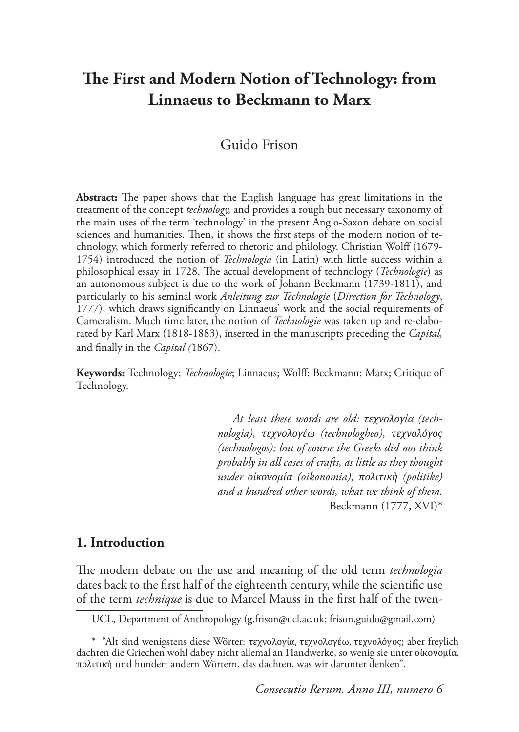# **The First and Modern Notion of Technology: from Linnaeus to Beckmann to Marx**

# Guido Frison

**Abstract:** The paper shows that the English language has great limitations in the treatment of the concept *technology,* and provides a rough but necessary taxonomy of the main uses of the term 'technology' in the present Anglo-Saxon debate on social sciences and humanities. Then, it shows the first steps of the modern notion of technology, which formerly referred to rhetoric and philology. Christian Wolff (1679- 1754) introduced the notion of *Technologia* (in Latin) with little success within a philosophical essay in 1728. The actual development of technology (*Technologie*) as an autonomous subject is due to the work of Johann Beckmann (1739-1811), and particularly to his seminal work *Anleitung zur Technologie* (*Direction for Technology*, 1777), which draws significantly on Linnaeus' work and the social requirements of Cameralism. Much time later, the notion of *Technologie* was taken up and re-elaborated by Karl Marx (1818-1883), inserted in the manuscripts preceding the *Capital,* and finally in the *Capital (*1867).

**Keywords:** Technology; *Technologie*; Linnaeus; Wolff; Beckmann; Marx; Critique of Technology.

> *At least these words are old: τεχνολογία (technologia), τεχνολογέω (technologheo), τεχνολόγος (technologos); but of course the Greeks did not think probably in all cases of crafts, as little as they thought under οἰκονομία (oikonomia), πολιτικὴ (politike) and a hundred other words, what we think of them.*  Beckmann (1777, XVI)\*

# **1. Introduction**

The modern debate on the use and meaning of the old term *technologia* dates back to the first half of the eighteenth century, while the scientific use of the term *technique* is due to Marcel Mauss in the first half of the twen-

UCL, Department of Anthropology (g.frison@ucl.ac.uk; frison.guido@gmail.com)

<sup>\* &</sup>quot;Alt sind wenigstens diese Wörter: τεχνολογία, τεχνολογέω, τεχνολόγος; aber freylich dachten die Griechen wohl dabey nicht allemal an Handwerke, so wenig sie unter οἰκονομία, πολιτικὴ und hundert andern Wörtern, das dachten, was wir darunter denken".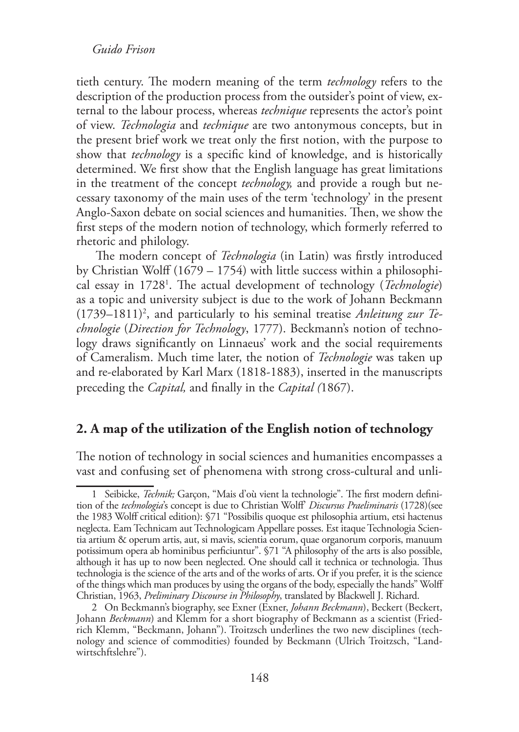tieth century. The modern meaning of the term *technology* refers to the description of the production process from the outsider's point of view, external to the labour process, whereas *technique* represents the actor's point of view. *Technologia* and *technique* are two antonymous concepts, but in the present brief work we treat only the first notion, with the purpose to show that *technology* is a specific kind of knowledge, and is historically determined. We first show that the English language has great limitations in the treatment of the concept *technology,* and provide a rough but necessary taxonomy of the main uses of the term 'technology' in the present Anglo-Saxon debate on social sciences and humanities. Then, we show the first steps of the modern notion of technology, which formerly referred to rhetoric and philology.

 The modern concept of *Technologia* (in Latin) was firstly introduced by Christian Wolff (1679 – 1754) with little success within a philosophical essay in 17281 . The actual development of technology (*Technologie*) as a topic and university subject is due to the work of Johann Beckmann (1739–1811)2 , and particularly to his seminal treatise *Anleitung zur Technologie* (*Direction for Technology*, 1777). Beckmann's notion of technology draws significantly on Linnaeus' work and the social requirements of Cameralism. Much time later, the notion of *Technologie* was taken up and re-elaborated by Karl Marx (1818-1883), inserted in the manuscripts preceding the *Capital,* and finally in the *Capital (*1867).

# **2. A map of the utilization of the English notion of technology**

The notion of technology in social sciences and humanities encompasses a vast and confusing set of phenomena with strong cross-cultural and unli-

<sup>1</sup> Seibicke, *Technik;* Garçon, "Mais d'où vient la technologie". The first modern definition of the *technologia*'s concept is due to Christian Wolff' *Discursus Praeliminaris* (1728)(see the 1983 Wolff critical edition): §71 "Possibilis quoque est philosophia artium, etsi hactenus neglecta. Eam Technicam aut Technologicam Appellare posses. Est itaque Technologia Scientia artium & operum artis, aut, si mavis, scientia eorum, quae organorum corporis, manuum potissimum opera ab hominibus perficiuntur". §71 "A philosophy of the arts is also possible, although it has up to now been neglected. One should call it technica or technologia. Thus technologia is the science of the arts and of the works of arts. Or if you prefer, it is the science of the things which man produces by using the organs of the body, especially the hands" Wolff Christian, 1963, *Preliminary Discourse in Philosophy*, translated by Blackwell J. Richard.

<sup>2</sup> On Beckmann's biography, see Exner (Exner, *Johann Beckmann*), Beckert (Beckert, Johann *Beckmann*) and Klemm for a short biography of Beckmann as a scientist (Friedrich Klemm, "Beckmann, Johann"). Troitzsch underlines the two new disciplines (technology and science of commodities) founded by Beckmann (Ulrich Troitzsch, "Landwirtschftslehre").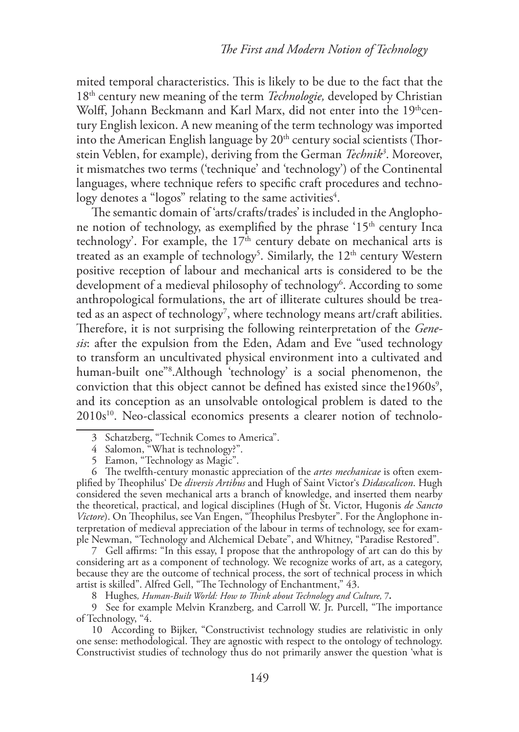mited temporal characteristics. This is likely to be due to the fact that the 18th century new meaning of the term *Technologie,* developed by Christian Wolff, Johann Beckmann and Karl Marx, did not enter into the 19thcentury English lexicon. A new meaning of the term technology was imported into the American English language by  $20<sup>th</sup>$  century social scientists (Thorstein Veblen, for example), deriving from the German *Technik3* . Moreover, it mismatches two terms ('technique' and 'technology') of the Continental languages, where technique refers to specific craft procedures and techno- $\log$ y denotes a "logos" relating to the same activities $^4.$ 

The semantic domain of 'arts/crafts/trades' is included in the Anglophone notion of technology, as exemplified by the phrase  $15<sup>th</sup>$  century Inca technology'. For example, the  $17<sup>th</sup>$  century debate on mechanical arts is treated as an example of technology<sup>5</sup>. Similarly, the  $12<sup>th</sup>$  century Western positive reception of labour and mechanical arts is considered to be the development of a medieval philosophy of technology<sup>6</sup>. According to some anthropological formulations, the art of illiterate cultures should be treated as an aspect of technology $^7$ , where technology means art/craft abilities. Therefore, it is not surprising the following reinterpretation of the *Genesis*: after the expulsion from the Eden, Adam and Eve "used technology to transform an uncultivated physical environment into a cultivated and human-built one"8 .Although 'technology' is a social phenomenon, the conviction that this object cannot be defined has existed since the  $1960s<sup>9</sup>$ , and its conception as an unsolvable ontological problem is dated to the 2010s<sup>10</sup>. Neo-classical economics presents a clearer notion of technolo-

7 Gell affirms: "In this essay, I propose that the anthropology of art can do this by considering art as a component of technology. We recognize works of art, as a category, because they are the outcome of technical process, the sort of technical process in which artist is skilled". Alfred Gell, "The Technology of Enchantment," 43.

8 Hughes*, Human-Built World: How to Think about Technology and Culture,* 7*.*

9 See for example Melvin Kranzberg, and Carroll W. Jr. Purcell, "The importance of Technology, "4.

10 According to Bijker, "Constructivist technology studies are relativistic in only one sense: methodological. They are agnostic with respect to the ontology of technology. Constructivist studies of technology thus do not primarily answer the question 'what is

<sup>3</sup> Schatzberg, "Technik Comes to America".

<sup>4</sup> Salomon, "What is technology?".

<sup>5</sup> Eamon, "Technology as Magic".

<sup>6</sup> The twelfth-century monastic appreciation of the *artes mechanicae* is often exemplified by Theophilus' De *diversis Artibus* and Hugh of Saint Victor's *Didascalicon*. Hugh considered the seven mechanical arts a branch of knowledge, and inserted them nearby the theoretical, practical, and logical disciplines (Hugh of St. Victor, Hugonis *de Sancto Victore*). On Theophilus, see Van Engen, "Theophilus Presbyter". For the Anglophone interpretation of medieval appreciation of the labour in terms of technology, see for example Newman, "Technology and Alchemical Debate", and Whitney, "Paradise Restored".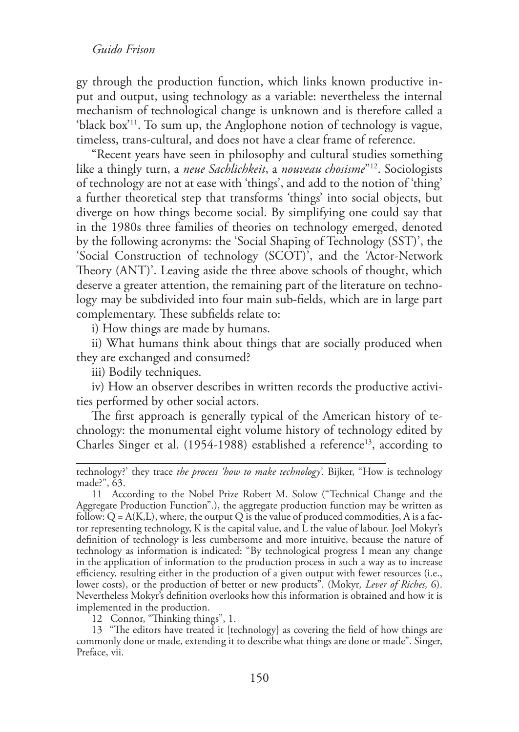gy through the production function, which links known productive input and output, using technology as a variable: nevertheless the internal mechanism of technological change is unknown and is therefore called a 'black box'11. To sum up, the Anglophone notion of technology is vague, timeless, trans-cultural, and does not have a clear frame of reference.

"Recent years have seen in philosophy and cultural studies something like a thingly turn, a *neue Sachlichkeit*, a *nouveau chosisme*"12. Sociologists of technology are not at ease with 'things', and add to the notion of 'thing' a further theoretical step that transforms 'things' into social objects, but diverge on how things become social. By simplifying one could say that in the 1980s three families of theories on technology emerged, denoted by the following acronyms: the 'Social Shaping of Technology (SST)', the 'Social Construction of technology (SCOT)', and the 'Actor-Network Theory (ANT)'. Leaving aside the three above schools of thought, which deserve a greater attention, the remaining part of the literature on technology may be subdivided into four main sub-fields, which are in large part complementary. These subfields relate to:

i) How things are made by humans.

ii) What humans think about things that are socially produced when they are exchanged and consumed?

iii) Bodily techniques.

iv) How an observer describes in written records the productive activities performed by other social actors.

The first approach is generally typical of the American history of technology: the monumental eight volume history of technology edited by Charles Singer et al. (1954-1988) established a reference<sup>13</sup>, according to

12 Connor, "Thinking things", 1.

13 "The editors have treated it [technology] as covering the field of how things are commonly done or made, extending it to describe what things are done or made". Singer, Preface, vii.

technology?' they trace *the process 'how to make technology'.* Bijker, "How is technology made?", 63.

<sup>11</sup> According to the Nobel Prize Robert M. Solow ("Technical Change and the Aggregate Production Function".), the aggregate production function may be written as follow:  $Q = A(K,L)$ , where, the output Q is the value of produced commodities, A is a factor representing technology, K is the capital value, and L the value of labour. Joel Mokyr's definition of technology is less cumbersome and more intuitive, because the nature of technology as information is indicated: "By technological progress I mean any change in the application of information to the production process in such a way as to increase efficiency, resulting either in the production of a given output with fewer resources (i.e., lower costs), or the production of better or new products". (Mokyr*, Lever of Riches,* 6). Nevertheless Mokyr's definition overlooks how this information is obtained and how it is implemented in the production.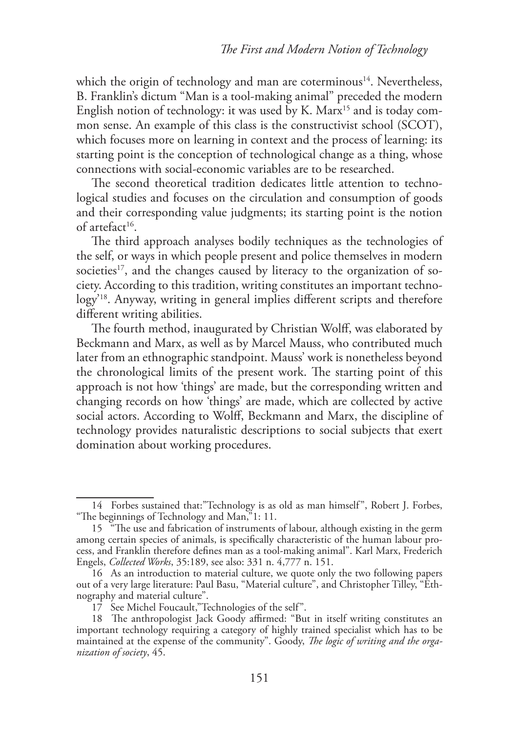which the origin of technology and man are coterminous<sup>14</sup>. Nevertheless, B. Franklin's dictum "Man is a tool-making animal" preceded the modern English notion of technology: it was used by K. Marx<sup>15</sup> and is today common sense. An example of this class is the constructivist school (SCOT), which focuses more on learning in context and the process of learning: its starting point is the conception of technological change as a thing, whose connections with social-economic variables are to be researched.

The second theoretical tradition dedicates little attention to technological studies and focuses on the circulation and consumption of goods and their corresponding value judgments; its starting point is the notion of artefact<sup>16</sup>.

The third approach analyses bodily techniques as the technologies of the self, or ways in which people present and police themselves in modern societies<sup>17</sup>, and the changes caused by literacy to the organization of society. According to this tradition, writing constitutes an important technology'18. Anyway, writing in general implies different scripts and therefore different writing abilities.

The fourth method, inaugurated by Christian Wolff, was elaborated by Beckmann and Marx, as well as by Marcel Mauss, who contributed much later from an ethnographic standpoint. Mauss' work is nonetheless beyond the chronological limits of the present work. The starting point of this approach is not how 'things' are made, but the corresponding written and changing records on how 'things' are made, which are collected by active social actors. According to Wolff, Beckmann and Marx, the discipline of technology provides naturalistic descriptions to social subjects that exert domination about working procedures.

<sup>14</sup> Forbes sustained that:"Technology is as old as man himself", Robert J. Forbes, "The beginnings of Technology and Man,"1: 11.

<sup>15 &</sup>lt;sup>"</sup>The use and fabrication of instruments of labour, although existing in the germ among certain species of animals, is specifically characteristic of the human labour process, and Franklin therefore defines man as a tool-making animal". Karl Marx, Frederich Engels, *Collected Works*, 35:189, see also: 331 n. 4,777 n. 151.

<sup>16</sup> As an introduction to material culture, we quote only the two following papers out of a very large literature: Paul Basu, "Material culture", and Christopher Tilley, "Ethnography and material culture".

<sup>17</sup> See Michel Foucault,"Technologies of the self".

<sup>18</sup> The anthropologist Jack Goody affirmed: "But in itself writing constitutes an important technology requiring a category of highly trained specialist which has to be maintained at the expense of the community". Goody, *The logic of writing and the organization of society*, 45.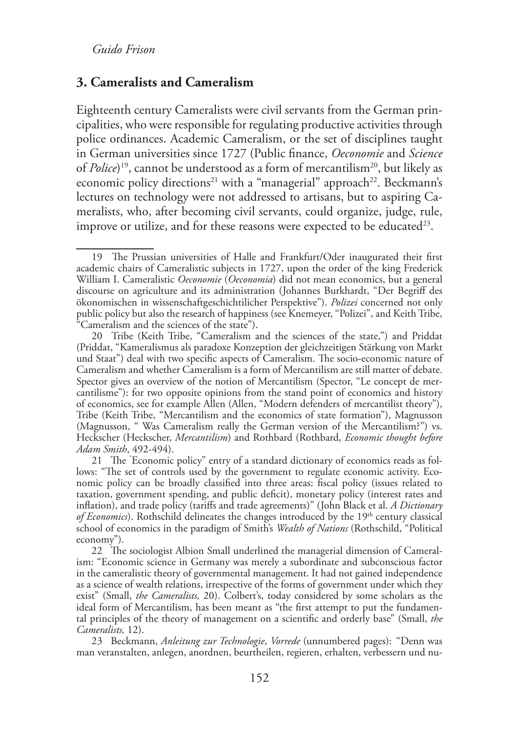## **3. Cameralists and Cameralism**

Eighteenth century Cameralists were civil servants from the German principalities, who were responsible for regulating productive activities through police ordinances. Academic Cameralism, or the set of disciplines taught in German universities since 1727 (Public finance, *Oeconomie* and *Science* of *Police*)<sup>19</sup>, cannot be understood as a form of mercantilism<sup>20</sup>, but likely as economic policy directions<sup>21</sup> with a "managerial" approach<sup>22</sup>. Beckmann's lectures on technology were not addressed to artisans, but to aspiring Cameralists, who, after becoming civil servants, could organize, judge, rule, improve or utilize, and for these reasons were expected to be educated<sup>23</sup>.

23 Beckmann, *Anleitung zur Technologie*, *Vorrede* (unnumbered pages): "Denn was man veranstalten, anlegen, anordnen, beurtheilen, regieren, erhalten, verbessern und nu-

<sup>19</sup> The Prussian universities of Halle and Frankfurt/Oder inaugurated their first academic chairs of Cameralistic subjects in 1727, upon the order of the king Frederick William I. Cameralistic *Oeconomie* (*Oeconomia*) did not mean economics, but a general discourse on agriculture and its administration (Johannes Burkhardt, "Der Begriff des ökonomischen in wissenschaftgeschichtilicher Perspektive"). *Polizei* concerned not only public policy but also the research of happiness (see Knemeyer, "Polizei", and Keith Tribe, "Cameralism and the sciences of the state").

<sup>20</sup> Tribe (Keith Tribe, "Cameralism and the sciences of the state,") and Priddat (Priddat, "Kameralismus als paradoxe Konzeption der gleichzeitigen Stärkung von Markt und Staat") deal with two specific aspects of Cameralism. The socio-economic nature of Cameralism and whether Cameralism is a form of Mercantilism are still matter of debate. Spector gives an overview of the notion of Mercantilism (Spector, "Le concept de mercantilisme"): for two opposite opinions from the stand point of economics and history of economics, see for example Allen (Allen, "Modern defenders of mercantilist theory"), Tribe (Keith Tribe, "Mercantilism and the economics of state formation"), Magnusson (Magnusson, " Was Cameralism really the German version of the Mercantilism?") vs. Heckscher (Heckscher, *Mercantilism*) and Rothbard (Rothbard, *Economic thought before Adam Smith*, 492-494).

<sup>21</sup> The " Economic policy" entry of a standard dictionary of economics reads as follows: "The set of controls used by the government to regulate economic activity. Economic policy can be broadly classified into three areas: fiscal policy (issues related to taxation, government spending, and public deficit), monetary policy (interest rates and inflation), and trade policy (tariffs and trade agreements)" (John Black et al. *A Dictionary of Economics*). Rothschild delineates the changes introduced by the 19<sup>th</sup> century classical school of economics in the paradigm of Smith's *Wealth of Nations* (Rothschild, "Political economy").

<sup>22</sup> The sociologist Albion Small underlined the managerial dimension of Cameralism: "Economic science in Germany was merely a subordinate and subconscious factor in the cameralistic theory of governmental management. It had not gained independence as a science of wealth relations, irrespective of the forms of government under which they exist" (Small, *the Cameralists,* 20). Colbert's, today considered by some scholars as the ideal form of Mercantilism, has been meant as "the first attempt to put the fundamental principles of the theory of management on a scientific and orderly base" (Small, *the Cameralists,* 12).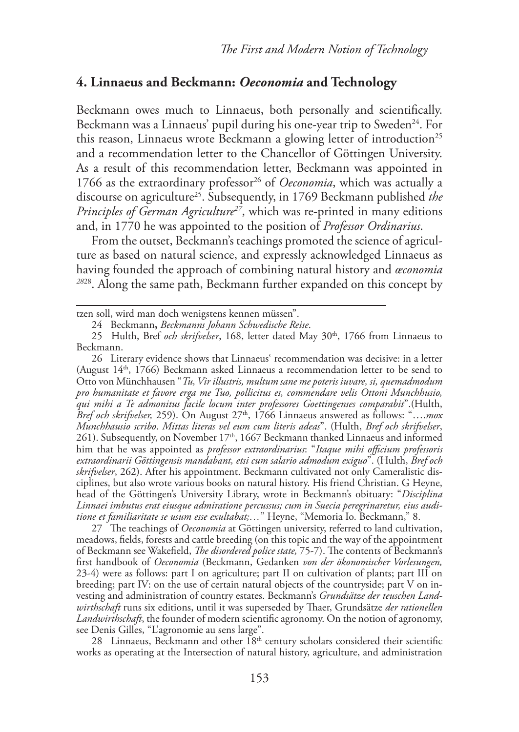# **4. Linnaeus and Beckmann:** *Oeconomia* **and Technology**

Beckmann owes much to Linnaeus, both personally and scientifically. Beckmann was a Linnaeus' pupil during his one-year trip to Sweden<sup>24</sup>. For this reason, Linnaeus wrote Beckmann a glowing letter of introduction<sup>25</sup> and a recommendation letter to the Chancellor of Göttingen University. As a result of this recommendation letter, Beckmann was appointed in 1766 as the extraordinary professor<sup>26</sup> of *Oeconomia*, which was actually a discourse on agriculture25. Subsequently, in 1769 Beckmann published *the Principles of German Agriculture27*, which was re-printed in many editions and, in 1770 he was appointed to the position of *Professor Ordinarius*.

From the outset, Beckmann's teachings promoted the science of agriculture as based on natural science, and expressly acknowledged Linnaeus as having founded the approach of combining natural history and *œconomia <sup>28</sup>*28. Along the same path, Beckmann further expanded on this concept by

tzen soll, wird man doch wenigstens kennen müssen".

26 Literary evidence shows that Linnaeus' recommendation was decisive: in a letter (August 14<sup>th</sup>, 1766) Beckmann asked Linnaeus a recommendation letter to be send to Otto von Münchhausen "*Tu, Vir illustris, multum sane me poteris iuvare, si, quemadmodum pro humanitate et favore erga me Tuo, pollicitus es, commendare velis Ottoni Munchhusio, qui mihi a Te admonitus facile locum inter professores Goettingenses comparabit*".(Hulth, *Bref och skrifvelser,* 259). On August 27<sup>th</sup>, 1766 Linnaeus answered as follows: "....*mox Munchhausio scribo*. *Mittas literas vel eum cum literis adeas*". (Hulth, *Bref och skrifvelser*, 261). Subsequently, on November  $17<sup>th</sup>$ , 1667 Beckmann thanked Linnaeus and informed him that he was appointed as *professor extraordinarius*: "*Itaque mihi officium professoris extraordinarii Göttingensis mandabant, etsi cum salario admodum exiguo*". (Hulth, *Bref och skrifvelser*, 262). After his appointment. Beckmann cultivated not only Cameralistic disciplines, but also wrote various books on natural history. His friend Christian. G Heyne, head of the Göttingen's University Library, wrote in Beckmann's obituary: "*Disciplina Linnaei imbutus erat eiusque admiratione percussus; cum in Suecia peregrinaretur, eius auditione et familiaritate se usum esse exultabat;…*" Heyne, "Memoria Io. Beckmann," 8.

27 The teachings of *Oeconomia* at Göttingen university, referred to land cultivation, meadows, fields, forests and cattle breeding (on this topic and the way of the appointment of Beckmann see Wakefield, *The disordered police state,* 75-7). The contents of Beckmann's first handbook of *Oeconomia* (Beckmann, Gedanken *von der ökonomischer Vorlesungen,* 23-4) were as follows: part I on agriculture; part II on cultivation of plants; part III on breeding; part IV: on the use of certain natural objects of the countryside; part V on investing and administration of country estates. Beckmann's *Grundsätze der teuschen Landwirthschaft* runs six editions, until it was superseded by Thaer, Grundsätze *der rationellen Landwirthschaft*, the founder of modern scientific agronomy. On the notion of agronomy, see Denis Gilles, "L'agronomie au sens large".

28 Linnaeus, Beckmann and other 18<sup>th</sup> century scholars considered their scientific works as operating at the Intersection of natural history, agriculture, and administration

<sup>24</sup> Beckmann**,** *Beckmanns Johann Schwedische Reise*.

<sup>25</sup> Hulth, Bref och skrifvelser, 168, letter dated May 30<sup>th</sup>, 1766 from Linnaeus to Beckmann.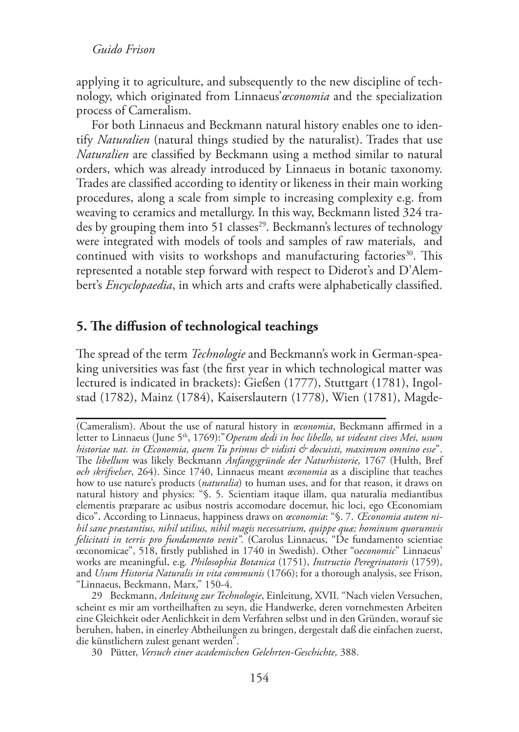applying it to agriculture, and subsequently to the new discipline of technology, which originated from Linnaeus'*œconomia* and the specialization process of Cameralism.

For both Linnaeus and Beckmann natural history enables one to identify *Naturalien* (natural things studied by the naturalist). Trades that use *Naturalien* are classified by Beckmann using a method similar to natural orders, which was already introduced by Linnaeus in botanic taxonomy. Trades are classified according to identity or likeness in their main working procedures, along a scale from simple to increasing complexity e.g. from weaving to ceramics and metallurgy. In this way, Beckmann listed 324 trades by grouping them into 51 classes<sup>29</sup>. Beckmann's lectures of technology were integrated with models of tools and samples of raw materials, and continued with visits to workshops and manufacturing factories<sup>30</sup>. This represented a notable step forward with respect to Diderot's and D'Alembert's *Encyclopaedia*, in which arts and crafts were alphabetically classified.

# **5. The diffusion of technological teachings**

The spread of the term *Technologie* and Beckmann's work in German-speaking universities was fast (the first year in which technological matter was lectured is indicated in brackets): Gießen (1777), Stuttgart (1781), Ingolstad (1782), Mainz (1784), Kaiserslautern (1778), Wien (1781), Magde-

29 Beckmann, *Anleitung zur Technologie*, Einleitung, XVII. "Nach vielen Versuchen, scheint es mir am vortheilhaften zu seyn, die Handwerke, deren vornehmesten Arbeiten eine Gleichkeit oder Aenlichkeit in dem Verfahren selbst und in den Gründen, worauf sie beruhen, haben, in einerley Abtheilungen zu bringen, dergestalt daß die einfachen zuerst, die künstlichern zulest genant werden".

<sup>(</sup>Cameralism). About the use of natural history in *œconomia*, Beckmann affirmed in a letter to Linnaeus (June 5<sup>th</sup>, 1769):"*Operam dedi in hoc libello, ut videant cives Mei, usum historiae nat. in Œconomia, quem Tu primus & vidisti & docuisti, maximum omnino esse*". The *libellum* was likely Beckmann *Anfangsgründe der Naturhistorie,* 1767 (Hulth, Bref *och skrifvelser*, 264). Since 1740, Linnaeus meant *œconomia* as a discipline that teaches how to use nature's products (*naturalia*) to human uses, and for that reason, it draws on natural history and physics: "§. 5. Scientiam itaque illam, qua naturalia mediantibus elementis præparare ac usibus nostris accomodare docemur, hic loci, ego Œconomiam dico". According to Linnaeus, happiness draws on *œconomia*: "§. 7. *Œconomia autem nihil sane præstantius, nihil utilius, nihil magis necessarium, quippe quæ; hominum quorumvis felicitati in terris pro fundamento venit".* (Carolus Linnaeus, "De fundamento scientiae œconomicae", 518, firstly published in 1740 in Swedish). Other "o*economic*" Linnaeus' works are meaningful, e.g*. Philosophia Botanica* (1751), *Instructio Peregrinatoris* (1759), and *Usum Historia Naturalis in vita communis* (1766); for a thorough analysis, see Frison, "Linnaeus, Beckmann, Marx," 150-4.

<sup>30</sup> Pütter, *Versuch einer academischen Gelehrten-Geschichte,* 388.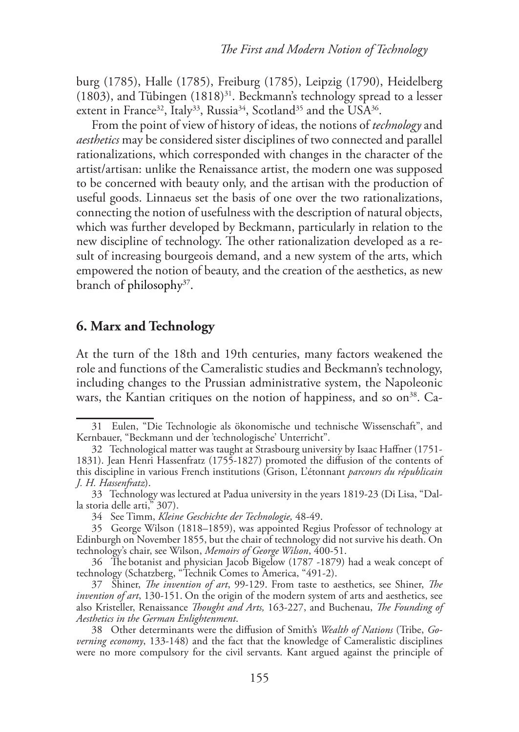burg (1785), Halle (1785), Freiburg (1785), Leipzig (1790), Heidelberg (1803), and Tübingen  $(1818)^{31}$ . Beckmann's technology spread to a lesser extent in France<sup>32</sup>, Italy<sup>33</sup>, Russia<sup>34</sup>, Scotland<sup>35</sup> and the USA<sup>36</sup>.

From the point of view of history of ideas, the notions of *technology* and *aesthetics* may be considered sister disciplines of two connected and parallel rationalizations, which corresponded with changes in the character of the artist/artisan: unlike the Renaissance artist, the modern one was supposed to be concerned with beauty only, and the artisan with the production of useful goods. Linnaeus set the basis of one over the two rationalizations, connecting the notion of usefulness with the description of natural objects, which was further developed by Beckmann, particularly in relation to the new discipline of technology. The other rationalization developed as a result of increasing bourgeois demand, and a new system of the arts, which empowered the notion of beauty, and the creation of the aesthetics, as new branch of philosophy<sup>37</sup>.

## **6. Marx and Technology**

At the turn of the 18th and 19th centuries, many factors weakened the role and functions of the Cameralistic studies and Beckmann's technology, including changes to the Prussian administrative system, the Napoleonic wars, the Kantian critiques on the notion of happiness, and so on<sup>38</sup>. Ca-

<sup>31</sup> Eulen, "Die Technologie als ökonomische und technische Wissenschaft", and Kernbauer, "Beckmann und der 'technologische' Unterricht".

<sup>32</sup> Technological matter was taught at Strasbourg university by Isaac Haffner (1751- 1831). Jean Henri Hassenfratz (1755-1827) promoted the diffusion of the contents of this discipline in various French institutions (Grison, L'étonnant *parcours du républicain J. H. Hassenfratz*).

<sup>33</sup> Technology was lectured at Padua university in the years 1819-23 (Di Lisa, "Dalla storia delle arti," 307).

<sup>34</sup> See Timm, *Kleine Geschichte der Technologie,* 48-49.

<sup>35</sup> George Wilson (1818–1859), was appointed Regius Professor of technology at Edinburgh on November 1855, but the chair of technology did not survive his death. On technology's chair, see Wilson, *Memoirs of George Wilson*, 400-51.

<sup>36</sup> The botanist and physician Jacob Bigelow (1787 -1879) had a weak concept of technology (Schatzberg, "Technik Comes to America, "491-2).

<sup>37</sup> Shiner, *The invention of art*, 99-129. From taste to aesthetics, see Shiner, *The invention of art*, 130-151. On the origin of the modern system of arts and aesthetics, see also Kristeller, Renaissance *Thought and Arts,* 163-227, and Buchenau, *The Founding of Aesthetics in the German Enlightenment*.

<sup>38</sup> Other determinants were the diffusion of Smith's *Wealth of Nations* (Tribe, *Governing economy*, 133-148) and the fact that the knowledge of Cameralistic disciplines were no more compulsory for the civil servants. Kant argued against the principle of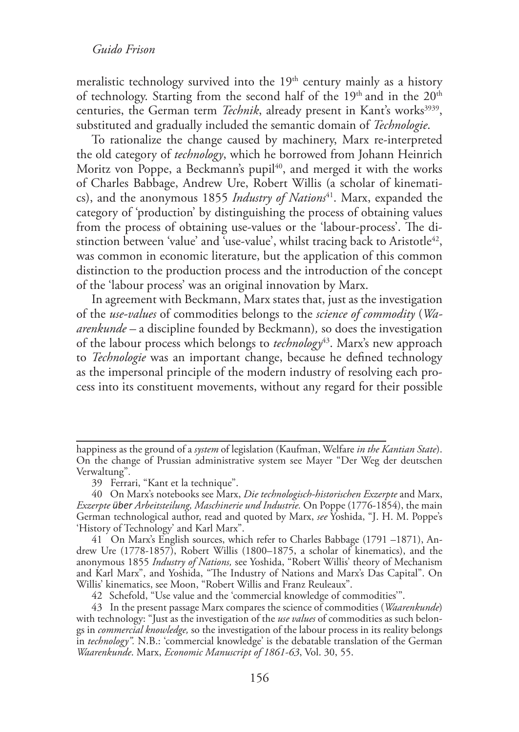meralistic technology survived into the  $19<sup>th</sup>$  century mainly as a history of technology. Starting from the second half of the  $19<sup>th</sup>$  and in the  $20<sup>th</sup>$ centuries, the German term *Technik*, already present in Kant's works<sup>3939</sup>, substituted and gradually included the semantic domain of *Technologie*.

To rationalize the change caused by machinery, Marx re-interpreted the old category of *technology*, which he borrowed from Johann Heinrich Moritz von Poppe, a Beckmann's pupil<sup>40</sup>, and merged it with the works of Charles Babbage, Andrew Ure, Robert Willis (a scholar of kinematics), and the anonymous 1855 *Industry of Nations*41. Marx, expanded the category of 'production' by distinguishing the process of obtaining values from the process of obtaining use-values or the 'labour-process'. The distinction between 'value' and 'use-value', whilst tracing back to Aristotle<sup>42</sup>, was common in economic literature, but the application of this common distinction to the production process and the introduction of the concept of the 'labour process' was an original innovation by Marx.

In agreement with Beckmann, Marx states that, just as the investigation of the *use-values* of commodities belongs to the *science of commodity* (*Waarenkunde –* a discipline founded by Beckmann)*,* so does the investigation of the labour process which belongs to *technology*43. Marx's new approach to *Technologie* was an important change, because he defined technology as the impersonal principle of the modern industry of resolving each process into its constituent movements, without any regard for their possible

happiness as the ground of a *system* of legislation (Kaufman, Welfare *in the Kantian State*). On the change of Prussian administrative system see Mayer "Der Weg der deutschen Verwaltung".

<sup>39</sup> Ferrari, "Kant et la technique".

<sup>40</sup> On Marx's notebooks see Marx, *Die technologisch-historischen Exzerpte* and Marx, *Exzerpte über Arbeitsteilung, Maschinerie und Industrie.* On Poppe (1776-1854), the main German technological author, read and quoted by Marx, *see* Yoshida, "J. H. M. Poppe's 'History of Technology' and Karl Marx".

<sup>41</sup> On Marx's English sources, which refer to Charles Babbage (1791 –1871), Andrew Ure (1778-1857), Robert Willis (1800–1875, a scholar of kinematics), and the anonymous 1855 *Industry of Nations,* see Yoshida, "Robert Willis' theory of Mechanism and Karl Marx", and Yoshida, "The Industry of Nations and Marx's Das Capital". On Willis' kinematics, see Moon, "Robert Willis and Franz Reuleaux".

<sup>42</sup> Schefold, "Use value and the 'commercial knowledge of commodities'".

<sup>43</sup> In the present passage Marx compares the science of commodities (*Waarenkunde*) with technology: "Just as the investigation of the *use values* of commodities as such belongs in *commercial knowledge,* so the investigation of the labour process in its reality belongs in *technology".* N.B.: 'commercial knowledge' is the debatable translation of the German *Waarenkunde*. Marx, *Economic Manuscript of 1861-63*, Vol. 30, 55.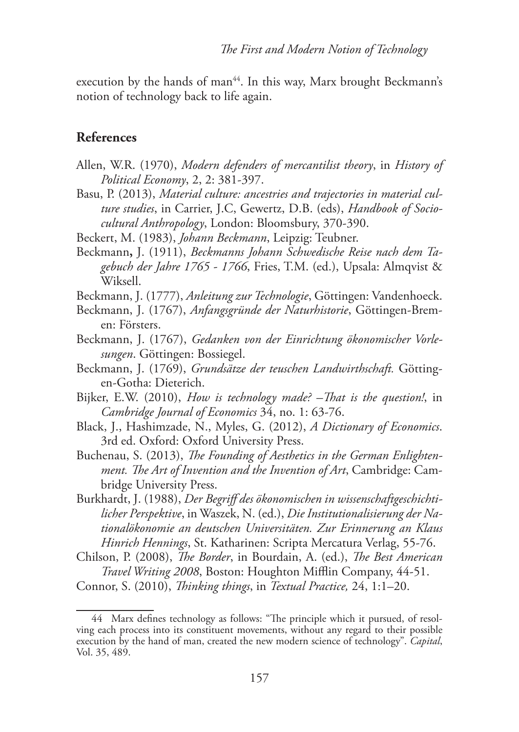execution by the hands of man<sup>44</sup>. In this way, Marx brought Beckmann's notion of technology back to life again.

# **References**

- Allen, W.R. (1970), *Modern defenders of mercantilist theory*, in *History of Political Economy*, 2, 2: 381-397.
- Basu, P. (2013), *Material culture: ancestries and trajectories in material culture studies*, in Carrier, J.C, Gewertz, D.B. (eds), *Handbook of Sociocultural Anthropology*, London: Bloomsbury, 370-390.
- Beckert, M. (1983), *Johann Beckmann*, Leipzig: Teubner.
- Beckmann**,** J. (1911), *Beckmanns Johann Schwedische Reise nach dem Tagebuch der Jahre 1765 - 1766*, Fries, T.M. (ed.), Upsala: Almqvist & Wiksell.
- Beckmann, J. (1777), *Anleitung zur Technologie*, Göttingen: Vandenhoeck.
- Beckmann, J. (1767), *Anfangsgründe der Naturhistorie*, Göttingen-Bremen: Försters.
- Beckmann, J. (1767), *Gedanken von der Einrichtung ökonomischer Vorlesungen*. Göttingen: Bossiegel.
- Beckmann, J. (1769), *Grundsätze der teuschen Landwirthschaft.* Göttingen-Gotha: Dieterich.
- Bijker, E.W. (2010), *How is technology made? –That is the question!*, in *Cambridge Journal of Economics* 34, no. 1: 63-76.
- Black, J., Hashimzade, N., Myles, G. (2012), *A Dictionary of Economics*. 3rd ed. Oxford: Oxford University Press.
- Buchenau, S. (2013), *The Founding of Aesthetics in the German Enlightenment. The Art of Invention and the Invention of Art*, Cambridge: Cambridge University Press.
- Burkhardt, J. (1988), *Der Begriff des ökonomischen in wissenschaftgeschichtilicher Perspektive*, in Waszek, N. (ed.), *Die Institutionalisierung der Nationalökonomie an deutschen Universitäten. Zur Erinnerung an Klaus Hinrich Hennings*, St. Katharinen: Scripta Mercatura Verlag, 55-76.
- Chilson, P. (2008), *The Border*, in Bourdain, A. (ed.), *The Best American Travel Writing 2008*, Boston: Houghton Mifflin Company, 44-51.

Connor, S. (2010), *Thinking things*, in *Textual Practice,* 24, 1:1–20.

<sup>44</sup> Marx defines technology as follows: "The principle which it pursued, of resolving each process into its constituent movements, without any regard to their possible execution by the hand of man, created the new modern science of technology". *Capital*, Vol. 35, 489.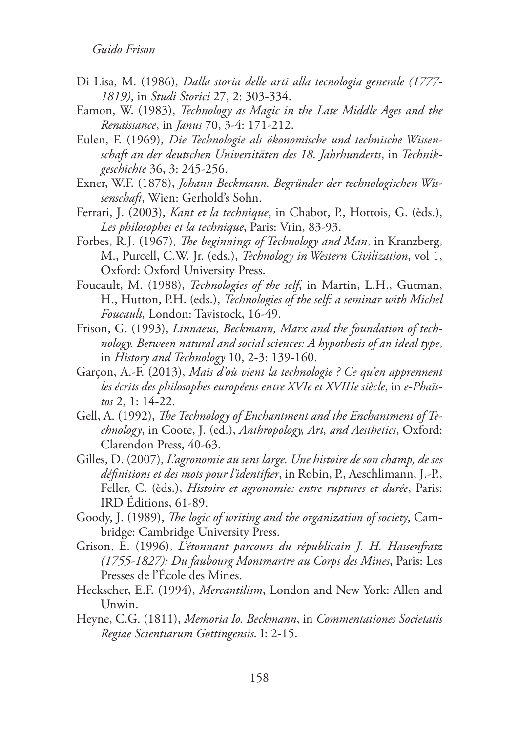- Di Lisa, M. (1986), *Dalla storia delle arti alla tecnologia generale (1777- 1819)*, in *Studi Storici* 27, 2: 303-334.
- Eamon, W. (1983), *Technology as Magic in the Late Middle Ages and the Renaissance*, in *Janus* 70, 3-4: 171-212.
- Eulen, F. (1969), *Die Technologie als ökonomische und technische Wissenschaft an der deutschen Universitäten des 18. Jahrhunderts*, in *Technikgeschichte* 36, 3: 245-256.
- Exner, W.F. (1878), *Johann Beckmann. Begründer der technologischen Wissenschaft*, Wien: Gerhold's Sohn.
- Ferrari, J. (2003), *Kant et la technique*, in Chabot, P., Hottois, G. (èds.), *Les philosophes et la technique*, Paris: Vrin, 83-93.
- Forbes, R.J. (1967), *The beginnings of Technology and Man*, in Kranzberg, M., Purcell, C.W. Jr. (eds.), *Technology in Western Civilization*, vol 1, Oxford: Oxford University Press.
- Foucault, M. (1988), *Technologies of the self*, in Martin, L.H., Gutman, H., Hutton, P.H. (eds.), *Technologies of the self: a seminar with Michel Foucault,* London: Tavistock, 16-49.
- Frison, G. (1993), *Linnaeus, Beckmann, Marx and the foundation of technology. Between natural and social sciences: A hypothesis of an ideal type*, in *History and Technology* 10, 2-3: 139-160.
- Garçon, A.-F. (2013), *Mais d'où vient la technologie ? Ce qu'en apprennent*  les écrits des philosophes européens entre XVIe et XVIIIe siècle, in e-Phaïs*tos* 2, 1: 14-22.
- Gell, A. (1992), *The Technology of Enchantment and the Enchantment of Technology*, in Coote, J. (ed.), *Anthropology, Art, and Aesthetics*, Oxford: Clarendon Press, 40-63.
- Gilles, D. (2007), *L'agronomie au sens large. Une histoire de son champ, de ses définitions et des mots pour l'identifier*, in Robin, P., Aeschlimann, J.-P., Feller, C. (èds.), *Histoire et agronomie: entre ruptures et durée*, Paris: IRD Éditions, 61-89.
- Goody, J. (1989), *The logic of writing and the organization of society*, Cambridge: Cambridge University Press.
- Grison, E. (1996), *L'étonnant parcours du républicain J. H. Hassenfratz (1755-1827): Du faubourg Montmartre au Corps des Mines*, Paris: Les Presses de l'École des Mines.
- Heckscher, E.F. (1994), *Mercantilism*, London and New York: Allen and Unwin.
- Heyne, C.G. (1811), *Memoria Io. Beckmann*, in *Commentationes Societatis Regiae Scientiarum Gottingensis*. I: 2-15.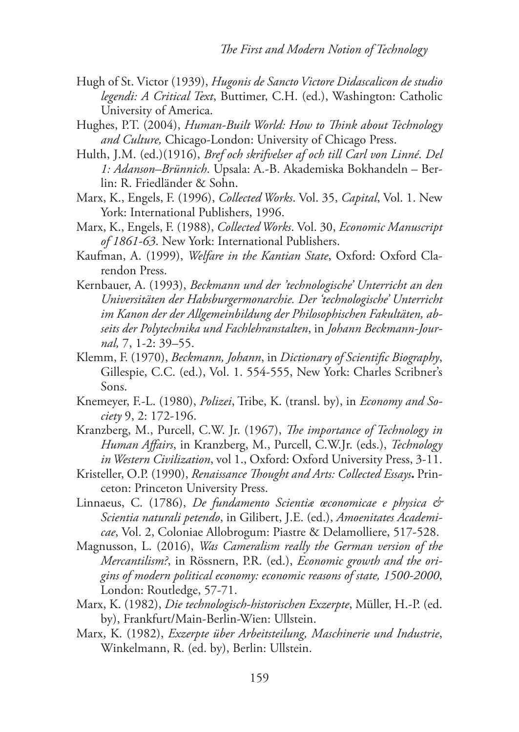- Hugh of St. Victor (1939), *Hugonis de Sancto Victore Didascalicon de studio legendi: A Critical Text*, Buttimer, C.H. (ed.), Washington: Catholic University of America.
- Hughes, P.T. (2004), *Human-Built World: How to Think about Technology and Culture,* Chicago-London: University of Chicago Press.
- Hulth, J.M. (ed.)(1916), *Bref och skrifvelser af och till Carl von Linné*. *Del 1: Adanson–Brünnich*. Upsala: A.-B. Akademiska Bokhandeln – Berlin: R. Friedländer & Sohn.
- Marx, K., Engels, F. (1996), *Collected Works*. Vol. 35, *Capital*, Vol. 1. New York: International Publishers, 1996.
- Marx, K., Engels, F. (1988), *Collected Works*. Vol. 30, *Economic Manuscript of 1861-63*. New York: International Publishers.
- Kaufman, A. (1999), *Welfare in the Kantian State*, Oxford: Oxford Clarendon Press.
- Kernbauer, A. (1993), *Beckmann und der 'technologische' Unterricht an den Universitäten der Habsburgermonarchie. Der 'technologische' Unterricht im Kanon der der Allgemeinbildung der Philosophischen Fakultäten, abseits der Polytechnika und Fachlehranstalten*, in *Johann Beckmann-Journal,* 7, 1-2: 39–55.
- Klemm, F. (1970), *Beckmann, Johann*, in *Dictionary of Scientific Biography*, Gillespie, C.C. (ed.), Vol. 1. 554-555, New York: Charles Scribner's Sons.
- Knemeyer, F.-L. (1980), *Polizei*, Tribe, K. (transl. by), in *Economy and Society* 9, 2: 172-196.
- Kranzberg, M., Purcell, C.W. Jr. (1967), *The importance of Technology in Human Affairs*, in Kranzberg, M., Purcell, C.W.Jr. (eds.), *Technology in Western Civilization*, vol 1., Oxford: Oxford University Press, 3-11.
- Kristeller, O.P. (1990), *Renaissance Thought and Arts: Collected Essays***.** Princeton: Princeton University Press.
- Linnaeus, C. (1786), *De fundamento Scientiæ œconomicae e physica & Scientia naturali petendo*, in Gilibert, J.E. (ed.), *Amoenitates Academicae*, Vol. 2, Coloniae Allobrogum: Piastre & Delamolliere, 517-528.
- Magnusson, L. (2016), *Was Cameralism really the German version of the Mercantilism?*, in Rössnern, P.R. (ed.), *Economic growth and the origins of modern political economy: economic reasons of state, 1500-2000*, London: Routledge, 57-71.
- Marx, K. (1982), *Die technologisch-historischen Exzerpte*, Müller, H.-P. (ed. by), Frankfurt/Main-Berlin-Wien: Ullstein.
- Marx, K. (1982), *Exzerpte über Arbeitsteilung, Maschinerie und Industrie*, Winkelmann, R. (ed. by), Berlin: Ullstein.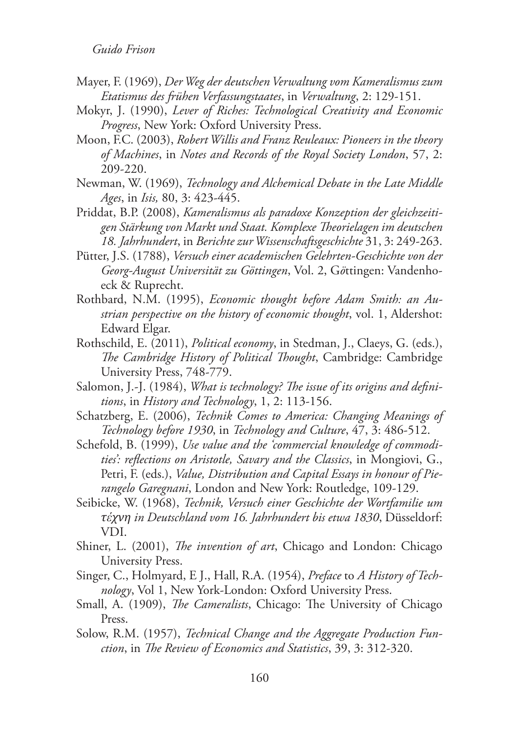- Mayer, F. (1969), *Der Weg der deutschen Verwaltung vom Kameralismus zum Etatismus des frühen Verfassungstaates*, in *Verwaltung*, 2: 129-151.
- Mokyr, J. (1990), *Lever of Riches: Technological Creativity and Economic Progress*, New York: Oxford University Press.
- Moon, F.C. (2003), *Robert Willis and Franz Reuleaux: Pioneers in the theory of Machines*, in *Notes and Records of the Royal Society London*, 57, 2: 209-220.
- Newman, W. (1969), *Technology and Alchemical Debate in the Late Middle Ages*, in *Isis,* 80, 3: 423-445.
- Priddat, B.P. (2008), *Kameralismus als paradoxe Konzeption der gleichzeitigen Stärkung von Markt und Staat. Komplexe Theorielagen im deutschen 18. Jahrhundert*, in *Berichte zur Wissenschaftsgeschichte* 31, 3: 249-263.
- Pütter, J.S. (1788), *Versuch einer academischen Gelehrten-Geschichte von der Georg-August Universität zu Göttingen*, Vol. 2, G*ö*ttingen: Vandenhoeck & Ruprecht.
- Rothbard, N.M. (1995), *Economic thought before Adam Smith: an Austrian perspective on the history of economic thought*, vol. 1, Aldershot: Edward Elgar.
- Rothschild, E. (2011), *Political economy*, in Stedman, J., Claeys, G. (eds.), *The Cambridge History of Political Thought*, Cambridge: Cambridge University Press, 748-779.
- Salomon, J.‐J. (1984), *What is technology? The issue of its origins and definitions*, in *History and Technology*, 1, 2: 113-156.
- Schatzberg, E. (2006), *Technik Comes to America: Changing Meanings of Technology before 1930*, in *Technology and Culture*, 47, 3: 486-512.
- Schefold, B. (1999), *Use value and the 'commercial knowledge of commodities': reflections on Aristotle, Savary and the Classics*, in Mongiovi, G., Petri, F. (eds.), *Value, Distribution and Capital Essays in honour of Pierangelo Garegnani*, London and New York: Routledge, 109-129.
- Seibicke, W. (1968), *Technik, Versuch einer Geschichte der Wortfamilie um τέχνη in Deutschland vom 16. Jahrhundert bis etwa 1830*, Düsseldorf: VDI.
- Shiner, L. (2001), *The invention of art*, Chicago and London: Chicago University Press.
- Singer, C., Holmyard, E J., Hall, R.A. (1954), *Preface* to *A History of Technology*, Vol 1, New York-London: Oxford University Press.
- Small, A. (1909), *The Cameralists*, Chicago: The University of Chicago Press.
- Solow, R.M. (1957), *Technical Change and the Aggregate Production Function*, in *The Review of Economics and Statistics*, 39, 3: 312-320.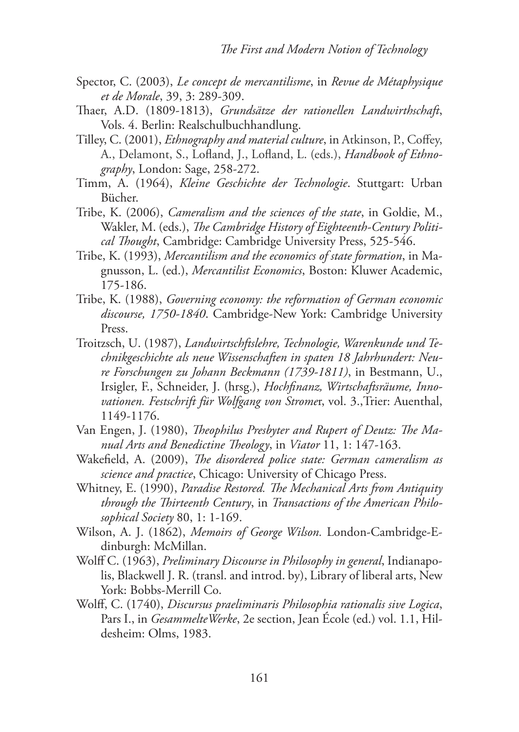- Spector, C. (2003), *Le concept de mercantilisme*, in *Revue de Métaphysique et de Morale*, 39, 3: 289-309.
- Thaer, A.D. (1809-1813), *Grundsätze der rationellen Landwirthschaft*, Vols. 4. Berlin: Realschulbuchhandlung.
- Tilley, C. (2001), *Ethnography and material culture*, in Atkinson, P., Coffey, A., Delamont, S., Lofland, J., Lofland, L. (eds.), *Handbook of Ethnography*, London: Sage, 258-272.
- Timm, A. (1964), *Kleine Geschichte der Technologie*. Stuttgart: Urban Bücher.
- Tribe, K. (2006), *Cameralism and the sciences of the state*, in Goldie, M., Wakler, M. (eds.), *The Cambridge History of Eighteenth-Century Political Thought*, Cambridge: Cambridge University Press, 525-546.
- Tribe, K. (1993), *Mercantilism and the economics of state formation*, in Magnusson, L. (ed.), *Mercantilist Economics*, Boston: Kluwer Academic, 175-186.
- Tribe, K. (1988), *Governing economy: the reformation of German economic discourse, 1750-1840*. Cambridge-New York: Cambridge University Press.
- Troitzsch, U. (1987), *Landwirtschftslehre, Technologie, Warenkunde und Technikgeschichte als neue Wissenschaften in spaten 18 Jahrhundert: Neure Forschungen zu Johann Beckmann (1739-1811)*, in Bestmann, U., Irsigler, F., Schneider, J. (hrsg.), *Hochfinanz, Wirtschaftsräume, Innovationen. Festschrift für Wolfgang von Strome*r, vol. 3.,Trier: Auenthal, 1149-1176.
- Van Engen, J. (1980), *Theophilus Presbyter and Rupert of Deutz: The Manual Arts and Benedictine Theology*, in *Viator* 11, 1: 147-163.
- Wakefield, A. (2009), *The disordered police state: German cameralism as science and practice*, Chicago: University of Chicago Press.
- Whitney, E. (1990), *Paradise Restored. The Mechanical Arts from Antiquity through the Thirteenth Century*, in *Transactions of the American Philosophical Society* 80, 1: 1-169.
- Wilson, A. J. (1862), *Memoirs of George Wilson.* London-Cambridge-Edinburgh: McMillan.
- Wolff C. (1963), *Preliminary Discourse in Philosophy in general*, Indianapolis, Blackwell J. R. (transl. and introd. by), Library of liberal arts, New York: Bobbs-Merrill Co.
- Wolff, C. (1740), *Discursus praeliminaris Philosophia rationalis sive Logica*, Pars I., in *GesammelteWerke*, 2e section, Jean École (ed.) vol. 1.1, Hildesheim: Olms, 1983.